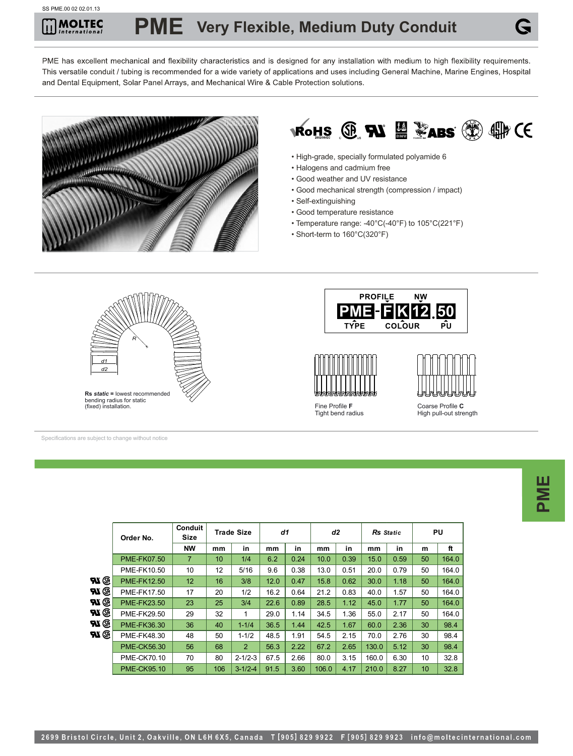## SS PME.00 02 02.01.13

PME has excellent mechanical and flexibility characteristics and is designed for any installation with medium to high flexibility requirements. This versatile conduit / tubing is recommended for a wide variety of applications and uses including General Machine, Marine Engines, Hospital and Dental Equipment, Solar Panel Arrays, and Mechanical Wire & Cable Protection solutions.





- High-grade, specially formulated polyamide 6
- Halogens and cadmium free
- Good weather and UV resistance
- Good mechanical strength (compression / impact)
- Self-extinguishing
- Good temperature resistance
- Temperature range: -40°C(-40°F) to 105°C(221°F)
- Short-term to 160°C(320°F)



Specifications are subject to change without notice

|      | Order No.          | <b>Conduit</b><br>d1<br><b>Trade Size</b><br>Size |     |                | d2   |      | Rs Static |      | <b>PU</b> |      |    |       |
|------|--------------------|---------------------------------------------------|-----|----------------|------|------|-----------|------|-----------|------|----|-------|
|      |                    | <b>NW</b>                                         | mm  | in             | mm   | in   | mm        | in   | mm        | in   | m  | ft    |
|      | <b>PME-FK07.50</b> | $\overline{7}$                                    | 10  | 1/4            | 6.2  | 0.24 | 10.0      | 0.39 | 15.0      | 0.59 | 50 | 164.0 |
|      | PME-FK10.50        | 10                                                | 12  | 5/16           | 9.6  | 0.38 | 13.0      | 0.51 | 20.0      | 0.79 | 50 | 164.0 |
| ® UR | <b>PME-FK12.50</b> | 12                                                | 16  | 3/8            | 12.0 | 0.47 | 15.8      | 0.62 | 30.0      | 1.18 | 50 | 164.0 |
| ® UR | PME-FK17.50        | 17                                                | 20  | 1/2            | 16.2 | 0.64 | 21.2      | 0.83 | 40.0      | 1.57 | 50 | 164.0 |
| ® VR | <b>PME-FK23.50</b> | 23                                                | 25  | 3/4            | 22.6 | 0.89 | 28.5      | 1.12 | 45.0      | 1.77 | 50 | 164.0 |
| ® VR | PME-FK29.50        | 29                                                | 32  | 1              | 29.0 | 1.14 | 34.5      | 1.36 | 55.0      | 2.17 | 50 | 164.0 |
| ® UR | PME-FK36.30        | 36                                                | 40  | $1 - 1/4$      | 36.5 | 1.44 | 42.5      | 1.67 | 60.0      | 2.36 | 30 | 98.4  |
| W G  | PME-FK48.30        | 48                                                | 50  | $1 - 1/2$      | 48.5 | 1.91 | 54.5      | 2.15 | 70.0      | 2.76 | 30 | 98.4  |
|      | <b>PME-CK56.30</b> | 56                                                | 68  | $\overline{2}$ | 56.3 | 2.22 | 67.2      | 2.65 | 130.0     | 5.12 | 30 | 98.4  |
|      | <b>PME-CK70.10</b> | 70                                                | 80  | $2 - 1/2 - 3$  | 67.5 | 2.66 | 80.0      | 3.15 | 160.0     | 6.30 | 10 | 32.8  |
|      | <b>PME-CK95.10</b> | 95                                                | 106 | $3 - 1/2 - 4$  | 91.5 | 3.60 | 106.0     | 4.17 | 210.0     | 8.27 | 10 | 32.8  |